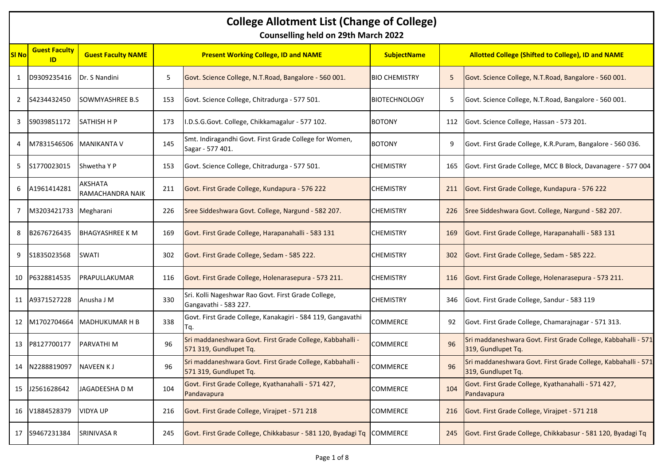## **College Allotment List (Change of College)**

**Counselling held on 29th March 2022**

| <b>SI No</b>   | <b>Guest Faculty</b><br>ID | <b>Guest Faculty NAME</b>   |     | <b>Present Working College, ID and NAME</b>                                         | <b>SubjectName</b>   |     | <b>Allotted College (Shifted to College), ID and NAME</b>                           |  |
|----------------|----------------------------|-----------------------------|-----|-------------------------------------------------------------------------------------|----------------------|-----|-------------------------------------------------------------------------------------|--|
| 1              | D9309235416                | Dr. S Nandini               | 5   | Govt. Science College, N.T.Road, Bangalore - 560 001.                               | <b>BIO CHEMISTRY</b> | 5   | Govt. Science College, N.T.Road, Bangalore - 560 001.                               |  |
| $\overline{2}$ | S4234432450                | SOWMYASHREE B.S.            | 153 | Govt. Science College, Chitradurga - 577 501.                                       | <b>BIOTECHNOLOGY</b> | 5   | Govt. Science College, N.T.Road, Bangalore - 560 001.                               |  |
| 3              | S9039851172                | <b>SATHISH H P</b>          | 173 | .D.S.G.Govt. College, Chikkamagalur - 577 102.                                      | <b>BOTONY</b>        | 112 | Govt. Science College, Hassan - 573 201.                                            |  |
| 4              | M7831546506 MANIKANTA V    |                             | 145 | Smt. Indiragandhi Govt. First Grade College for Women,<br>Sagar - 577 401.          | <b>BOTONY</b>        | 9   | Govt. First Grade College, K.R.Puram, Bangalore - 560 036.                          |  |
| 5              | S1770023015                | Shwetha Y P                 | 153 | Govt. Science College, Chitradurga - 577 501.                                       | CHEMISTRY            | 165 | Govt. First Grade College, MCC B Block, Davanagere - 577 004                        |  |
| 6              | A1961414281                | AKSHATA<br>RAMACHANDRA NAIK | 211 | Govt. First Grade College, Kundapura - 576 222                                      | <b>CHEMISTRY</b>     | 211 | Govt. First Grade College, Kundapura - 576 222                                      |  |
| 7              | M3203421733                | Megharani                   | 226 | Sree Siddeshwara Govt. College, Nargund - 582 207.                                  | <b>CHEMISTRY</b>     | 226 | Sree Siddeshwara Govt. College, Nargund - 582 207.                                  |  |
| 8              | B2676726435                | <b>BHAGYASHREE K M</b>      | 169 | Govt. First Grade College, Harapanahalli - 583 131                                  | <b>CHEMISTRY</b>     | 169 | Govt. First Grade College, Harapanahalli - 583 131                                  |  |
| 9              | S1835023568                | SWATI                       | 302 | Govt. First Grade College, Sedam - 585 222.                                         | <b>CHEMISTRY</b>     | 302 | Govt. First Grade College, Sedam - 585 222.                                         |  |
| 10             | P6328814535                | PRAPULLAKUMAR               | 116 | Govt. First Grade College, Holenarasepura - 573 211.                                | <b>CHEMISTRY</b>     | 116 | Govt. First Grade College, Holenarasepura - 573 211.                                |  |
|                | 11 A9371527228             | Anusha J M                  | 330 | Sri. Kolli Nageshwar Rao Govt. First Grade College,<br>Gangavathi - 583 227.        | <b>CHEMISTRY</b>     | 346 | Govt. First Grade College, Sandur - 583 119                                         |  |
| 12             | M1702704664                | <b>MADHUKUMAR H B</b>       | 338 | Govt. First Grade College, Kanakagiri - 584 119, Gangavathi<br>Гq.                  | COMMERCE             | 92  | Govt. First Grade College, Chamarajnagar - 571 313.                                 |  |
| 13             | P8127700177                | PARVATHI M                  | 96  | Sri maddaneshwara Govt. First Grade College, Kabbahalli -<br>571 319, Gundlupet Tq. | COMMERCE             | 96  | Sri maddaneshwara Govt. First Grade College, Kabbahalli - 571<br>319, Gundlupet Tq. |  |
| 14             | N2288819097                | <b>NAVEEN KJ</b>            | 96  | Sri maddaneshwara Govt. First Grade College, Kabbahalli -<br>571 319, Gundlupet Tq. | <b>COMMERCE</b>      | 96  | Sri maddaneshwara Govt. First Grade College, Kabbahalli - 571<br>319, Gundlupet Tq. |  |
| 15             | J2561628642                | JAGADEESHA D M              | 104 | Govt. First Grade College, Kyathanahalli - 571 427,<br>Pandavapura                  | COMMERCE             | 104 | Govt. First Grade College, Kyathanahalli - 571 427,<br>Pandavapura                  |  |
| 16             | V1884528379                | <b>VIDYA UP</b>             | 216 | Govt. First Grade College, Virajpet - 571 218                                       | <b>COMMERCE</b>      | 216 | Govt. First Grade College, Virajpet - 571 218                                       |  |
| 17             | S9467231384                | <b>SRINIVASA R</b>          | 245 | Govt. First Grade College, Chikkabasur - 581 120, Byadagi Tq COMMERCE               |                      | 245 | Govt. First Grade College, Chikkabasur - 581 120, Byadagi Tq                        |  |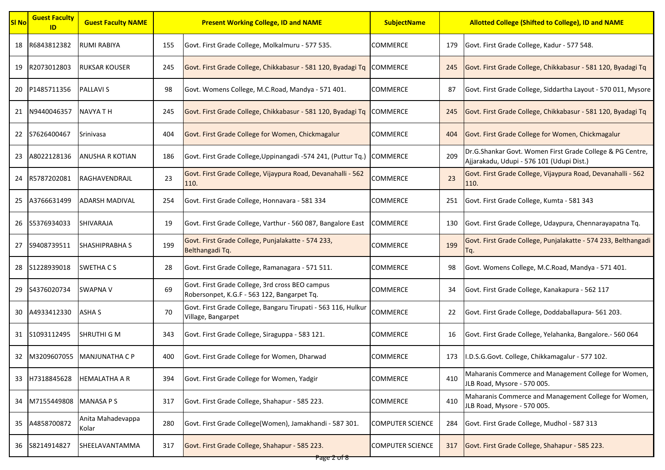| <b>SI No</b> | <b>Guest Faculty</b><br>ID | <b>Guest Faculty NAME</b>  | <b>Present Working College, ID and NAME</b> |                                                                                                | <b>SubjectName</b>      | <b>Allotted College (Shifted to College), ID and NAME</b> |                                                                                                        |
|--------------|----------------------------|----------------------------|---------------------------------------------|------------------------------------------------------------------------------------------------|-------------------------|-----------------------------------------------------------|--------------------------------------------------------------------------------------------------------|
| 18           | R6843812382                | <b>RUMI RABIYA</b>         | 155                                         | Govt. First Grade College, Molkalmuru - 577 535.                                               | <b>COMMERCE</b>         | 179                                                       | Govt. First Grade College, Kadur - 577 548.                                                            |
| 19           | R2073012803                | <b>RUKSAR KOUSER</b>       | 245                                         | Govt. First Grade College, Chikkabasur - 581 120, Byadagi Tq                                   | <b>COMMERCE</b>         | 245                                                       | Govt. First Grade College, Chikkabasur - 581 120, Byadagi Tq                                           |
| 20           | P1485711356                | <b>PALLAVIS</b>            | 98                                          | Govt. Womens College, M.C.Road, Mandya - 571 401.                                              | <b>COMMERCE</b>         | 87                                                        | Govt. First Grade College, Siddartha Layout - 570 011, Mysore                                          |
| 21           | N9440046357                | NAVYA T H                  | 245                                         | Govt. First Grade College, Chikkabasur - 581 120, Byadagi Tq COMMERCE                          |                         | 245                                                       | Govt. First Grade College, Chikkabasur - 581 120, Byadagi Tq                                           |
| 22           | S7626400467                | Srinivasa                  | 404                                         | Govt. First Grade College for Women, Chickmagalur                                              | <b>COMMERCE</b>         | 404                                                       | Govt. First Grade College for Women, Chickmagalur                                                      |
| 23           | A8022128136                | <b>ANUSHA R KOTIAN</b>     | 186                                         | Govt. First Grade College, Uppinangadi - 574 241, (Puttur Tq.)                                 | <b>COMMERCE</b>         | 209                                                       | Dr.G.Shankar Govt. Women First Grade College & PG Centre,<br>Ajjarakadu, Udupi - 576 101 (Udupi Dist.) |
| 24           | R5787202081                | RAGHAVENDRAJL              | 23                                          | Govt. First Grade College, Vijaypura Road, Devanahalli - 562<br>110.                           | <b>COMMERCE</b>         | 23                                                        | Govt. First Grade College, Vijaypura Road, Devanahalli - 562<br>110.                                   |
| 25           | A3766631499                | <b>ADARSH MADIVAL</b>      | 254                                         | Govt. First Grade College, Honnavara - 581 334                                                 | <b>COMMERCE</b>         | 251                                                       | Govt. First Grade College, Kumta - 581 343                                                             |
| 26           | S5376934033                | <b>SHIVARAJA</b>           | 19                                          | Govt. First Grade College, Varthur - 560 087, Bangalore East                                   | <b>COMMERCE</b>         | 130                                                       | Govt. First Grade College, Udaypura, Chennarayapatna Tq.                                               |
| 27           | S9408739511                | <b>SHASHIPRABHA S</b>      | 199                                         | Govt. First Grade College, Punjalakatte - 574 233,<br>Belthangadi Tq.                          | <b>COMMERCE</b>         | 199                                                       | Govt. First Grade College, Punjalakatte - 574 233, Belthangadi<br>Тq.                                  |
| 28           | S1228939018                | <b>SWETHA CS</b>           | 28                                          | Govt. First Grade College, Ramanagara - 571 511.                                               | <b>COMMERCE</b>         | 98                                                        | Govt. Womens College, M.C.Road, Mandya - 571 401.                                                      |
| 29           | S4376020734                | <b>SWAPNA V</b>            | 69                                          | Govt. First Grade College, 3rd cross BEO campus<br>Robersonpet, K.G.F - 563 122, Bangarpet Tq. | <b>COMMERCE</b>         | 34                                                        | Govt. First Grade College, Kanakapura - 562 117                                                        |
| 30           | A4933412330                | ASHA S                     | 70                                          | Govt. First Grade College, Bangaru Tirupati - 563 116, Hulkur<br>Village, Bangarpet            | <b>COMMERCE</b>         | 22                                                        | Govt. First Grade College, Doddaballapura- 561 203.                                                    |
|              | 31 S1093112495             | <b>SHRUTHI G M</b>         | 343                                         | Govt. First Grade College, Siraguppa - 583 121.                                                | <b>COMMERCE</b>         | 16                                                        | Govt. First Grade College, Yelahanka, Bangalore.- 560 064                                              |
| 32           |                            | M3209607055 MANJUNATHA C P | 400                                         | Govt. First Grade College for Women, Dharwad                                                   | <b>COMMERCE</b>         | 173                                                       | I.D.S.G.Govt. College, Chikkamagalur - 577 102.                                                        |
| 33           | H7318845628                | <b>HEMALATHA A R</b>       | 394                                         | Govt. First Grade College for Women, Yadgir                                                    | <b>COMMERCE</b>         | 410                                                       | Maharanis Commerce and Management College for Women,<br>JLB Road, Mysore - 570 005.                    |
| 34           | M7155449808 MANASA P S     |                            | 317                                         | Govt. First Grade College, Shahapur - 585 223.                                                 | <b>COMMERCE</b>         | 410                                                       | Maharanis Commerce and Management College for Women,<br>JLB Road, Mysore - 570 005.                    |
| 35           | A4858700872                | Anita Mahadevappa<br>Kolar | 280                                         | Govt. First Grade College(Women), Jamakhandi - 587 301.                                        | <b>COMPUTER SCIENCE</b> | 284                                                       | Govt. First Grade College, Mudhol - 587 313                                                            |
| 36           | S8214914827                | SHEELAVANTAMMA             | 317                                         | Govt. First Grade College, Shahapur - 585 223.                                                 | <b>COMPUTER SCIENCE</b> | 317                                                       | Govt. First Grade College, Shahapur - 585 223.                                                         |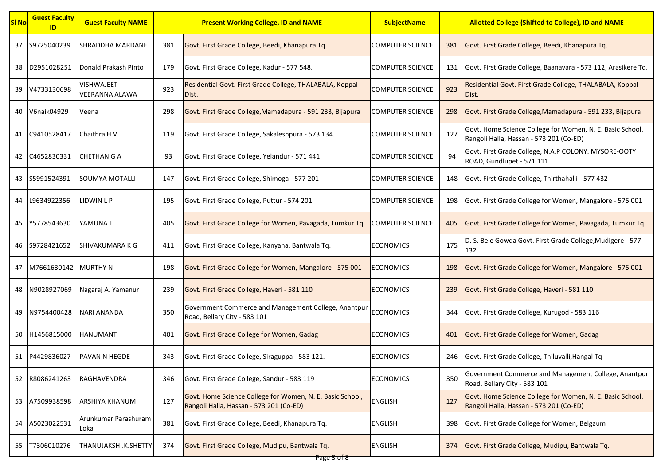| <b>SI No</b> | <b>Guest Faculty</b><br>ID | <b>Guest Faculty NAME</b>                  | <b>Present Working College, ID and NAME</b> |                                                                                                      | <b>SubjectName</b>       | <b>Allotted College (Shifted to College), ID and NAME</b> |                                                                                                      |
|--------------|----------------------------|--------------------------------------------|---------------------------------------------|------------------------------------------------------------------------------------------------------|--------------------------|-----------------------------------------------------------|------------------------------------------------------------------------------------------------------|
| 37           | S9725040239                | SHRADDHA MARDANE                           | 381                                         | Govt. First Grade College, Beedi, Khanapura Tq.                                                      | <b>COMPUTER SCIENCE</b>  | 381                                                       | Govt. First Grade College, Beedi, Khanapura Tq.                                                      |
| 38           | D2951028251                | Donald Prakash Pinto                       | 179                                         | Govt. First Grade College, Kadur - 577 548.                                                          | <b>COMPUTER SCIENCE</b>  | 131                                                       | Govt. First Grade College, Baanavara - 573 112, Arasikere Tq.                                        |
| 39           | V4733130698                | <b>VISHWAJEET</b><br><b>VEERANNA ALAWA</b> | 923                                         | Residential Govt. First Grade College, THALABALA, Koppal<br>Dist.                                    | <b>COMPUTER SCIENCE</b>  | 923                                                       | Residential Govt. First Grade College, THALABALA, Koppal<br>Dist.                                    |
| 40           | V6naik04929                | Veena                                      | 298                                         | Govt. First Grade College, Mamadapura - 591 233, Bijapura                                            | <b>COMPUTER SCIENCE</b>  | 298                                                       | Govt. First Grade College, Mamadapura - 591 233, Bijapura                                            |
| 41           | C9410528417                | Chaithra H V                               | 119                                         | Govt. First Grade College, Sakaleshpura - 573 134.                                                   | <b>COMPUTER SCIENCE</b>  | 127                                                       | Govt. Home Science College for Women, N. E. Basic School,<br>Rangoli Halla, Hassan - 573 201 (Co-ED) |
| 42           | C4652830331                | CHETHAN G A                                | 93                                          | Govt. First Grade College, Yelandur - 571 441                                                        | <b>COMPUTER SCIENCE</b>  | 94                                                        | Govt. First Grade College, N.A.P COLONY. MYSORE-OOTY<br>ROAD, Gundlupet - 571 111                    |
|              | 43 S5991524391             | SOUMYA MOTALLI                             | 147                                         | Govt. First Grade College, Shimoga - 577 201                                                         | <b>COMPUTER SCIENCE</b>  | 148                                                       | Govt. First Grade College, Thirthahalli - 577 432                                                    |
| 44           | L9634922356                | IDWIN L P.                                 | 195                                         | Govt. First Grade College, Puttur - 574 201                                                          | <b>COMPUTER SCIENCE</b>  | 198                                                       | Govt. First Grade College for Women, Mangalore - 575 001                                             |
| 45           | Y5778543630                | YAMUNA T                                   | 405                                         | Govt. First Grade College for Women, Pavagada, Tumkur Tq                                             | <b>ICOMPUTER SCIENCE</b> | 405                                                       | Govt. First Grade College for Women, Pavagada, Tumkur Tq                                             |
| 46           | S9728421652                | SHIVAKUMARA K G                            | 411                                         | Govt. First Grade College, Kanyana, Bantwala Tq.                                                     | <b>ECONOMICS</b>         | 175                                                       | D. S. Bele Gowda Govt. First Grade College, Mudigere - 577<br>132.                                   |
| 47           | M7661630142 MURTHY N       |                                            | 198                                         | Govt. First Grade College for Women, Mangalore - 575 001                                             | <b>ECONOMICS</b>         | 198                                                       | Govt. First Grade College for Women, Mangalore - 575 001                                             |
| 48           | N9028927069                | Nagaraj A. Yamanur                         | 239                                         | Govt. First Grade College, Haveri - 581 110                                                          | <b>ECONOMICS</b>         | 239                                                       | Govt. First Grade College, Haveri - 581 110                                                          |
| 49           | N9754400428                | <b>NARI ANANDA</b>                         | 350                                         | Government Commerce and Management College, Anantpur<br>Road, Bellary City - 583 101                 | <b>ECONOMICS</b>         | 344                                                       | Govt. First Grade College, Kurugod - 583 116                                                         |
| 50           | H1456815000                | HANUMANT                                   | 401                                         | Govt. First Grade College for Women, Gadag                                                           | <b>ECONOMICS</b>         | 401                                                       | Govt. First Grade College for Women, Gadag                                                           |
| 51           | P4429836027                | <b>PAVAN N HEGDE</b>                       | 343                                         | Govt. First Grade College, Siraguppa - 583 121.                                                      | <b>ECONOMICS</b>         | 246                                                       | Govt. First Grade College, Thiluvalli, Hangal Tq                                                     |
| 52           | R8086241263                | RAGHAVENDRA                                | 346                                         | Govt. First Grade College, Sandur - 583 119                                                          | <b>ECONOMICS</b>         | 350                                                       | Government Commerce and Management College, Anantpur<br>Road, Bellary City - 583 101                 |
| 53           | A7509938598                | ARSHIYA KHANUM                             | 127                                         | Govt. Home Science College for Women, N. E. Basic School,<br>Rangoli Halla, Hassan - 573 201 (Co-ED) | <b>ENGLISH</b>           | 127                                                       | Govt. Home Science College for Women, N. E. Basic School,<br>Rangoli Halla, Hassan - 573 201 (Co-ED) |
| 54           | A5023022531                | Arunkumar Parashuram<br>Loka               | 381                                         | Govt. First Grade College, Beedi, Khanapura Tq.                                                      | <b>ENGLISH</b>           | 398                                                       | Govt. First Grade College for Women, Belgaum                                                         |
| 55           | T7306010276                | THANUJAKSHI.K.SHETTY                       | 374                                         | Govt. First Grade College, Mudipu, Bantwala Tq.                                                      | <b>ENGLISH</b>           | 374                                                       | Govt. First Grade College, Mudipu, Bantwala Tq.                                                      |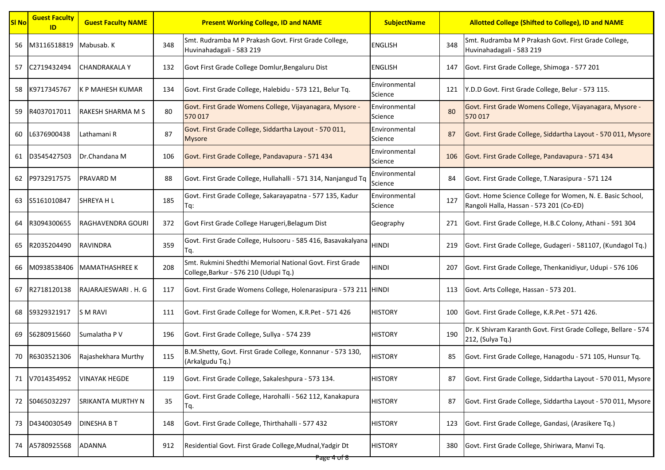| <b>SI No</b> | <b>Guest Faculty</b><br>ID | <b>Guest Faculty NAME</b> |     | <b>Present Working College, ID and NAME</b>                                                      |                          | <b>Allotted College (Shifted to College), ID and NAME</b> |                                                                                                      |
|--------------|----------------------------|---------------------------|-----|--------------------------------------------------------------------------------------------------|--------------------------|-----------------------------------------------------------|------------------------------------------------------------------------------------------------------|
| 56           | M3116518819 Mabusab. K     |                           | 348 | Smt. Rudramba M P Prakash Govt. First Grade College,<br>Huvinahadagali - 583 219                 | <b>ENGLISH</b>           | 348                                                       | Smt. Rudramba M P Prakash Govt. First Grade College,<br>Huvinahadagali - 583 219                     |
| 57           | C2719432494                | <b>CHANDRAKALA Y</b>      | 132 | Govt First Grade College Domlur, Bengaluru Dist                                                  | <b>ENGLISH</b>           | 147                                                       | Govt. First Grade College, Shimoga - 577 201                                                         |
| 58           | K9717345767                | K P MAHESH KUMAR          | 134 | Govt. First Grade College, Halebidu - 573 121, Belur Tq.                                         | Environmental<br>Science | 121                                                       | Y.D.D Govt. First Grade College, Belur - 573 115.                                                    |
| 59           | R4037017011                | <b>RAKESH SHARMA M S</b>  | 80  | Govt. First Grade Womens College, Vijayanagara, Mysore -<br>570 017                              | Environmental<br>Science | 80                                                        | Govt. First Grade Womens College, Vijayanagara, Mysore -<br>570 017                                  |
| 60           | L6376900438                | Lathamani R               | 87  | Govt. First Grade College, Siddartha Layout - 570 011,<br>Mysore                                 | Environmental<br>Science | 87                                                        | Govt. First Grade College, Siddartha Layout - 570 011, Mysore                                        |
| 61           | D3545427503                | Dr.Chandana M             | 106 | Govt. First Grade College, Pandavapura - 571 434                                                 | Environmental<br>Science | 106                                                       | Govt. First Grade College, Pandavapura - 571 434                                                     |
| 62           | P9732917575                | <b>PRAVARD M</b>          | 88  | Govt. First Grade College, Hullahalli - 571 314, Nanjangud Tq                                    | Environmental<br>Science | 84                                                        | Govt. First Grade College, T.Narasipura - 571 124                                                    |
| 63           | S5161010847                | <b>SHREYA HL</b>          | 185 | Govt. First Grade College, Sakarayapatna - 577 135, Kadur<br>Tq:                                 | Environmental<br>Science | 127                                                       | Govt. Home Science College for Women, N. E. Basic School,<br>Rangoli Halla, Hassan - 573 201 (Co-ED) |
| 64           | R3094300655                | RAGHAVENDRA GOURI         | 372 | Govt First Grade College Harugeri, Belagum Dist                                                  | Geography                | 271                                                       | Govt. First Grade College, H.B.C Colony, Athani - 591 304                                            |
| 65           | R2035204490                | RAVINDRA                  | 359 | Govt. First Grade College, Hulsooru - 585 416, Basavakalyana<br>Тq.                              | <b>HINDI</b>             | 219                                                       | Govt. First Grade College, Gudageri - 581107, (Kundagol Tq.)                                         |
| 66           | M0938538406                | <b>MAMATHASHREE K</b>     | 208 | Smt. Rukmini Shedthi Memorial National Govt. First Grade<br>College,Barkur - 576 210 (Udupi Tq.) | HINDI                    | 207                                                       | Govt. First Grade College, Thenkanidiyur, Udupi - 576 106                                            |
| 67           | R2718120138                | RAJARAJESWARI. H. G       | 117 | Govt. First Grade Womens College, Holenarasipura - 573 211 HINDI                                 |                          | 113                                                       | Govt. Arts College, Hassan - 573 201.                                                                |
| 68           | S9329321917                | <b>SM RAVI</b>            | 111 | Govt. First Grade College for Women, K.R.Pet - 571 426                                           | HISTORY                  | 100                                                       | Govt. First Grade College, K.R.Pet - 571 426.                                                        |
| 69           | S6280915660                | Sumalatha P V             | 196 | Govt. First Grade College, Sullya - 574 239                                                      | <b>HISTORY</b>           | 190                                                       | Dr. K Shivram Karanth Govt. First Grade College, Bellare - 574<br>212, (Sulya Tq.)                   |
| 70           | R6303521306                | Rajashekhara Murthy       | 115 | B.M.Shetty, Govt. First Grade College, Konnanur - 573 130,<br>(Arkalgudu Tq.)                    | <b>HISTORY</b>           | 85                                                        | Govt. First Grade College, Hanagodu - 571 105, Hunsur Tq.                                            |
| 71           | V7014354952                | <b>VINAYAK HEGDE</b>      | 119 | Govt. First Grade College, Sakaleshpura - 573 134.                                               | <b>HISTORY</b>           | 87                                                        | Govt. First Grade College, Siddartha Layout - 570 011, Mysore                                        |
|              | 72 S0465032297             | <b>SRIKANTA MURTHY N</b>  | 35  | Govt. First Grade College, Harohalli - 562 112, Kanakapura<br>Тq.                                | <b>HISTORY</b>           | 87                                                        | Govt. First Grade College, Siddartha Layout - 570 011, Mysore                                        |
| 73           | D4340030549                | <b>DINESHABT</b>          | 148 | Govt. First Grade College, Thirthahalli - 577 432                                                | <b>HISTORY</b>           | 123                                                       | Govt. First Grade College, Gandasi, (Arasikere Tq.)                                                  |
| 74           | A5780925568                | <b>ADANNA</b>             | 912 | Residential Govt. First Grade College, Mudnal, Yadgir Dt                                         | <b>HISTORY</b>           | 380                                                       | Govt. First Grade College, Shiriwara, Manvi Tq.                                                      |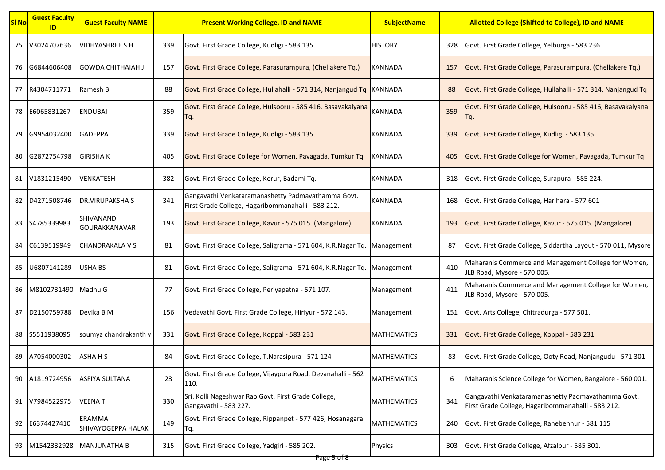| <b>SI No</b> | <b>Guest Faculty</b><br>ID | <b>Guest Faculty NAME</b>         | <b>Present Working College, ID and NAME</b> |                                                                                                          | <b>SubjectName</b> | <b>Allotted College (Shifted to College), ID and NAME</b> |                                                                                                          |
|--------------|----------------------------|-----------------------------------|---------------------------------------------|----------------------------------------------------------------------------------------------------------|--------------------|-----------------------------------------------------------|----------------------------------------------------------------------------------------------------------|
| 75           | V3024707636                | <b>VIDHYASHREE S H</b>            | 339                                         | Govt. First Grade College, Kudligi - 583 135.                                                            | <b>HISTORY</b>     | 328                                                       | Govt. First Grade College, Yelburga - 583 236.                                                           |
| 76           | G6844606408                | <b>GOWDA CHITHAIAH J</b>          | 157                                         | Govt. First Grade College, Parasurampura, (Chellakere Tq.)                                               | <b>KANNADA</b>     | 157                                                       | Govt. First Grade College, Parasurampura, (Chellakere Tq.)                                               |
| 77           | R4304711771                | Ramesh B                          | 88                                          | Govt. First Grade College, Hullahalli - 571 314, Nanjangud Tq KANNADA                                    |                    | 88                                                        | Govt. First Grade College, Hullahalli - 571 314, Nanjangud Tq                                            |
| 78           | E6065831267                | <b>ENDUBAI</b>                    | 359                                         | Govt. First Grade College, Hulsooru - 585 416, Basavakalyana<br>٢q.                                      | <b>KANNADA</b>     | 359                                                       | Govt. First Grade College, Hulsooru - 585 416, Basavakalyana<br>Гq.                                      |
| 79           | G9954032400                | <b>GADEPPA</b>                    | 339                                         | Govt. First Grade College, Kudligi - 583 135.                                                            | <b>KANNADA</b>     | 339                                                       | Govt. First Grade College, Kudligi - 583 135.                                                            |
| 80           | G2872754798                | <b>GIRISHA K</b>                  | 405                                         | Govt. First Grade College for Women, Pavagada, Tumkur Tq                                                 | KANNADA            | 405                                                       | Govt. First Grade College for Women, Pavagada, Tumkur Tq                                                 |
|              | 81 V1831215490             | <b>VENKATESH</b>                  | 382                                         | Govt. First Grade College, Kerur, Badami Tq.                                                             | KANNADA            | 318                                                       | Govt. First Grade College, Surapura - 585 224.                                                           |
| 82           | D4271508746                | <b>DR.VIRUPAKSHA S</b>            | 341                                         | Gangavathi Venkataramanashetty Padmavathamma Govt.<br>First Grade College, Hagaribommanahalli - 583 212. | <b>KANNADA</b>     | 168                                                       | Govt. First Grade College, Harihara - 577 601                                                            |
| 83           | S4785339983                | SHIVANAND<br><b>GOURAKKANAVAR</b> | 193                                         | Govt. First Grade College, Kavur - 575 015. (Mangalore)                                                  | KANNADA            | 193                                                       | Govt. First Grade College, Kavur - 575 015. (Mangalore)                                                  |
| 84           | C6139519949                | CHANDRAKALA V S                   | 81                                          | Govt. First Grade College, Saligrama - 571 604, K.R.Nagar Tq.                                            | Management         | 87                                                        | Govt. First Grade College, Siddartha Layout - 570 011, Mysore                                            |
| 85           | U6807141289                | USHA BS                           | 81                                          | Govt. First Grade College, Saligrama - 571 604, K.R.Nagar Tq. Management                                 |                    | 410                                                       | Maharanis Commerce and Management College for Women,<br>JLB Road, Mysore - 570 005.                      |
| 86           | M8102731490 Madhu G        |                                   | 77                                          | Govt. First Grade College, Periyapatna - 571 107.                                                        | Management         | 411                                                       | Maharanis Commerce and Management College for Women,<br>JLB Road, Mysore - 570 005.                      |
| 87           | D2150759788                | Devika B M                        | 156                                         | Vedavathi Govt. First Grade College, Hiriyur - 572 143.                                                  | Management         | 151                                                       | Govt. Arts College, Chitradurga - 577 501.                                                               |
|              | 88 S5511938095             | soumya chandrakanth v             | 331                                         | Govt. First Grade College, Koppal - 583 231                                                              | <b>MATHEMATICS</b> | 331                                                       | Govt. First Grade College, Koppal - 583 231                                                              |
| 89           | A7054000302                | ASHA H S                          | 84                                          | Govt. First Grade College, T.Narasipura - 571 124                                                        | <b>MATHEMATICS</b> | 83                                                        | Govt. First Grade College, Ooty Road, Nanjangudu - 571 301                                               |
| 90           | A1819724956                | <b>ASFIYA SULTANA</b>             | 23                                          | Govt. First Grade College, Vijaypura Road, Devanahalli - 562<br>110.                                     | <b>MATHEMATICS</b> | 6                                                         | Maharanis Science College for Women, Bangalore - 560 001.                                                |
|              | 91 V7984522975             | <b>VEENAT</b>                     | 330                                         | Sri. Kolli Nageshwar Rao Govt. First Grade College,<br>Gangavathi - 583 227.                             | <b>MATHEMATICS</b> | 341                                                       | Gangavathi Venkataramanashetty Padmavathamma Govt.<br>First Grade College, Hagaribommanahalli - 583 212. |
| 92           | E6374427410                | ERAMMA<br>SHIVAYOGEPPA HALAK      | 149                                         | Govt. First Grade College, Rippanpet - 577 426, Hosanagara<br>٢q.                                        | <b>MATHEMATICS</b> | 240                                                       | Govt. First Grade College, Ranebennur - 581 115                                                          |
| 93           | M1542332928                | <b>MANJUNATHA B</b>               | 315                                         | Govt. First Grade College, Yadgiri - 585 202.                                                            | <b>Physics</b>     | 303                                                       | Govt. First Grade College, Afzalpur - 585 301.                                                           |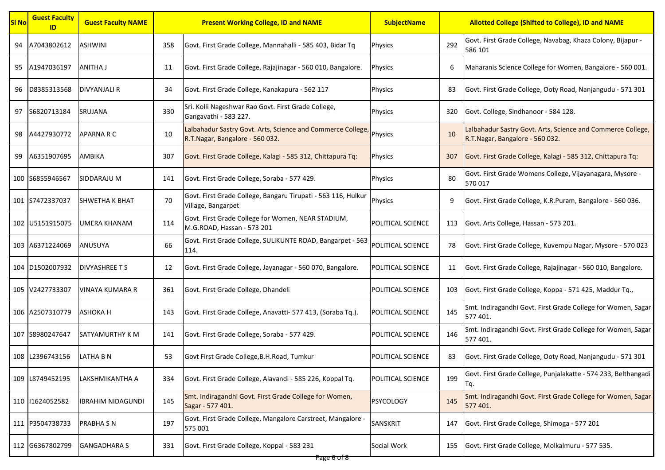| <b>SI No</b> | <b>Guest Faculty</b><br>ID | <b>Guest Faculty NAME</b> |     | <b>Present Working College, ID and NAME</b>                                                   | <b>SubjectName</b> |     | <b>Allotted College (Shifted to College), ID and NAME</b>                                      |
|--------------|----------------------------|---------------------------|-----|-----------------------------------------------------------------------------------------------|--------------------|-----|------------------------------------------------------------------------------------------------|
| 94           | A7043802612                | <b>ASHWINI</b>            | 358 | Govt. First Grade College, Mannahalli - 585 403, Bidar Tq                                     | <b>Physics</b>     | 292 | Govt. First Grade College, Navabag, Khaza Colony, Bijapur -<br>586 101                         |
| 95           | A1947036197                | <b>ANITHA J</b>           | 11  | Govt. First Grade College, Rajajinagar - 560 010, Bangalore.                                  | <b>Physics</b>     | 6   | Maharanis Science College for Women, Bangalore - 560 001.                                      |
| 96           | D8385313568                | DIVYANJALI R              | 34  | Govt. First Grade College, Kanakapura - 562 117                                               | Physics            | 83  | Govt. First Grade College, Ooty Road, Nanjangudu - 571 301                                     |
| 97           | S6820713184                | <b>SRUJANA</b>            | 330 | Sri. Kolli Nageshwar Rao Govt. First Grade College,<br>Gangavathi - 583 227.                  | <b>Physics</b>     | 320 | Govt. College, Sindhanoor - 584 128.                                                           |
| 98           | A4427930772                | <b>APARNA R C</b>         | 10  | Lalbahadur Sastry Govt. Arts, Science and Commerce College<br>R.T.Nagar, Bangalore - 560 032. | <b>Physics</b>     | 10  | Lalbahadur Sastry Govt. Arts, Science and Commerce College,<br>R.T.Nagar, Bangalore - 560 032. |
| 99           | A6351907695                | ΑΜΒΙΚΑ                    | 307 | Govt. First Grade College, Kalagi - 585 312, Chittapura Tq:                                   | <b>Physics</b>     | 307 | Govt. First Grade College, Kalagi - 585 312, Chittapura Tq:                                    |
|              | 100 S6855946567            | SIDDARAJU M               | 141 | Govt. First Grade College, Soraba - 577 429.                                                  | <b>Physics</b>     | 80  | Govt. First Grade Womens College, Vijayanagara, Mysore -<br>570 017                            |
|              | 101 S7472337037            | <b>SHWETHA K BHAT</b>     | 70  | Govt. First Grade College, Bangaru Tirupati - 563 116, Hulkur<br>Village, Bangarpet           | Physics            | 9   | Govt. First Grade College, K.R.Puram, Bangalore - 560 036.                                     |
|              | 102 U5151915075            | UMERA KHANAM              | 114 | Govt. First Grade College for Women, NEAR STADIUM,<br>M.G.ROAD, Hassan - 573 201              | POLITICAL SCIENCE  | 113 | Govt. Arts College, Hassan - 573 201.                                                          |
|              | 103 A6371224069            | ANUSUYA                   | 66  | Govt. First Grade College, SULIKUNTE ROAD, Bangarpet - 563<br>114.                            | POLITICAL SCIENCE  | 78  | Govt. First Grade College, Kuvempu Nagar, Mysore - 570 023                                     |
|              | 104 D1502007932            | <b>DIVYASHREE T S</b>     | 12  | Govt. First Grade College, Jayanagar - 560 070, Bangalore.                                    | POLITICAL SCIENCE  | 11  | Govt. First Grade College, Rajajinagar - 560 010, Bangalore.                                   |
|              | 105 V2427733307            | VINAYA KUMARA R           | 361 | Govt. First Grade College, Dhandeli                                                           | POLITICAL SCIENCE  | 103 | Govt. First Grade College, Koppa - 571 425, Maddur Tq.,                                        |
|              | 106 A2507310779            | ASHOKA H                  | 143 | Govt. First Grade College, Anavatti- 577 413, (Soraba Tq.).                                   | POLITICAL SCIENCE  | 145 | Smt. Indiragandhi Govt. First Grade College for Women, Sagar<br>577 401.                       |
|              | 107 S8980247647            | <b>SATYAMURTHY K M</b>    | 141 | Govt. First Grade College, Soraba - 577 429.                                                  | POLITICAL SCIENCE  | 146 | Smt. Indiragandhi Govt. First Grade College for Women, Sagar<br>577 401.                       |
|              | 108 L2396743156            | <b>LATHA B N</b>          | 53  | Govt First Grade College, B.H. Road, Tumkur                                                   | POLITICAL SCIENCE  | 83  | Govt. First Grade College, Ooty Road, Nanjangudu - 571 301                                     |
|              | 109 L8749452195            | LAKSHMIKANTHA A           | 334 | Govt. First Grade College, Alavandi - 585 226, Koppal Tq.                                     | POLITICAL SCIENCE  | 199 | Govt. First Grade College, Punjalakatte - 574 233, Belthangadi<br>Tq.                          |
|              | 110 1624052582             | <b>IBRAHIM NIDAGUNDI</b>  | 145 | Smt. Indiragandhi Govt. First Grade College for Women,<br>Sagar - 577 401.                    | <b>PSYCOLOGY</b>   | 145 | Smt. Indiragandhi Govt. First Grade College for Women, Sagar<br>577 401.                       |
|              | 111 P3504738733            | <b>PRABHA S N</b>         | 197 | Govt. First Grade College, Mangalore Carstreet, Mangalore -<br>575 001                        | SANSKRIT           | 147 | Govt. First Grade College, Shimoga - 577 201                                                   |
|              | 112 G6367802799            | <b>GANGADHARA S</b>       | 331 | Govt. First Grade College, Koppal - 583 231                                                   | Social Work        | 155 | Govt. First Grade College, Molkalmuru - 577 535.                                               |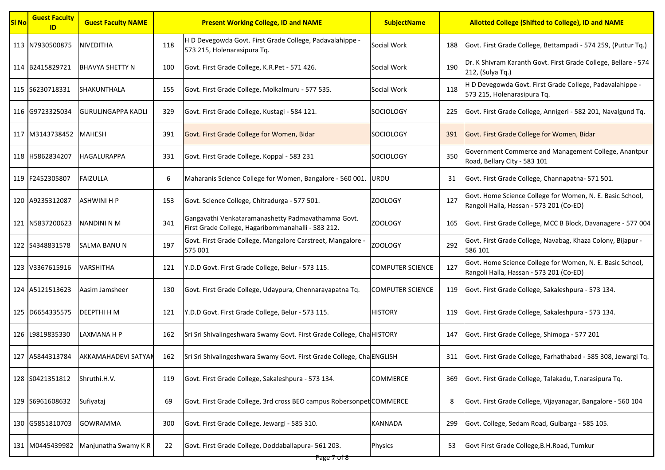| <b>SI No</b> | <b>Guest Faculty</b><br>ID | <b>Guest Faculty NAME</b>  |     | <b>Present Working College, ID and NAME</b>                                                              | <b>SubjectName</b>      |     | <b>Allotted College (Shifted to College), ID and NAME</b>                                            |
|--------------|----------------------------|----------------------------|-----|----------------------------------------------------------------------------------------------------------|-------------------------|-----|------------------------------------------------------------------------------------------------------|
|              | 113 N7930500875            | <b>NIVEDITHA</b>           | 118 | H D Devegowda Govt. First Grade College, Padavalahippe -<br>573 215, Holenarasipura Tq.                  | Social Work             | 188 | Govt. First Grade College, Bettampadi - 574 259, (Puttur Tq.)                                        |
|              | 114 B2415829721            | <b>BHAVYA SHETTY N</b>     | 100 | Govt. First Grade College, K.R.Pet - 571 426.                                                            | Social Work             | 190 | Dr. K Shivram Karanth Govt. First Grade College, Bellare - 574<br>212, (Sulya Tq.)                   |
|              | 115 S6230718331            | SHAKUNTHALA                | 155 | Govt. First Grade College, Molkalmuru - 577 535.                                                         | Social Work             | 118 | H D Devegowda Govt. First Grade College, Padavalahippe -<br>573 215, Holenarasipura Tq.              |
|              | 116 G9723325034            | <b>GURULINGAPPA KADLI</b>  | 329 | Govt. First Grade College, Kustagi - 584 121.                                                            | <b>SOCIOLOGY</b>        | 225 | Govt. First Grade College, Annigeri - 582 201, Navalgund Tq.                                         |
|              | 117 M3143738452 MAHESH     |                            | 391 | Govt. First Grade College for Women, Bidar                                                               | SOCIOLOGY               | 391 | Govt. First Grade College for Women, Bidar                                                           |
|              | 118 H5862834207            | HAGALURAPPA                | 331 | Govt. First Grade College, Koppal - 583 231                                                              | <b>SOCIOLOGY</b>        | 350 | Government Commerce and Management College, Anantpur<br>Road, Bellary City - 583 101                 |
|              | 119 F2452305807            | <b>FAIZULLA</b>            | 6   | Maharanis Science College for Women, Bangalore - 560 001. URDU                                           |                         | 31  | Govt. First Grade College, Channapatna- 571 501.                                                     |
|              | 120 A9235312087            | <b>ASHWINI H P</b>         | 153 | Govt. Science College, Chitradurga - 577 501.                                                            | <b>ZOOLOGY</b>          | 127 | Govt. Home Science College for Women, N. E. Basic School,<br>Rangoli Halla, Hassan - 573 201 (Co-ED) |
|              | 121 N5837200623            | <b>NANDINI N M</b>         | 341 | Gangavathi Venkataramanashetty Padmavathamma Govt.<br>First Grade College, Hagaribommanahalli - 583 212. | <b>ZOOLOGY</b>          | 165 | Govt. First Grade College, MCC B Block, Davanagere - 577 004                                         |
|              | 122 S4348831578            | SALMA BANU N               | 197 | Govt. First Grade College, Mangalore Carstreet, Mangalore -<br>575 001                                   | <b>ZOOLOGY</b>          | 292 | Govt. First Grade College, Navabag, Khaza Colony, Bijapur -<br>586 101                               |
|              | 123 V3367615916            | VARSHITHA                  | 121 | Y.D.D Govt. First Grade College, Belur - 573 115.                                                        | <b>COMPUTER SCIENCE</b> | 127 | Govt. Home Science College for Women, N. E. Basic School,<br>Rangoli Halla, Hassan - 573 201 (Co-ED) |
|              | 124 A5121513623            | Aasim Jamsheer             | 130 | Govt. First Grade College, Udaypura, Chennarayapatna Tq.                                                 | <b>COMPUTER SCIENCE</b> | 119 | Govt. First Grade College, Sakaleshpura - 573 134.                                                   |
|              | 125 D6654335575            | <b>DEEPTHI H M</b>         | 121 | Y.D.D Govt. First Grade College, Belur - 573 115.                                                        | <b>HISTORY</b>          | 119 | Govt. First Grade College, Sakaleshpura - 573 134.                                                   |
|              | 126 L9819835330            | LAXMANA H P                | 162 | Sri Sri Shivalingeshwara Swamy Govt. First Grade College, Cha HISTORY                                    |                         | 147 | Govt. First Grade College, Shimoga - 577 201                                                         |
|              | 127 A5844313784            | <b>AKKAMAHADEVI SATYAN</b> | 162 | Sri Sri Shivalingeshwara Swamy Govt. First Grade College, Cha ENGLISH                                    |                         | 311 | Govt. First Grade College, Farhathabad - 585 308, Jewargi Tq.                                        |
|              | 128 S0421351812            | Shruthi.H.V.               | 119 | Govt. First Grade College, Sakaleshpura - 573 134.                                                       | <b>COMMERCE</b>         | 369 | Govt. First Grade College, Talakadu, T.narasipura Tq.                                                |
|              | 129 S6961608632            | Sufiyataj                  | 69  | Govt. First Grade College, 3rd cross BEO campus Robersonpet COMMERCE                                     |                         | 8   | Govt. First Grade College, Vijayanagar, Bangalore - 560 104                                          |
|              | 130 G5851810703            | <b>GOWRAMMA</b>            | 300 | Govt. First Grade College, Jewargi - 585 310.                                                            | <b>KANNADA</b>          | 299 | Govt. College, Sedam Road, Gulbarga - 585 105.                                                       |
|              | 131 M0445439982            | Manjunatha Swamy KR        | 22  | Govt. First Grade College, Doddaballapura- 561 203.                                                      | Physics                 | 53  | Govt First Grade College, B.H. Road, Tumkur                                                          |